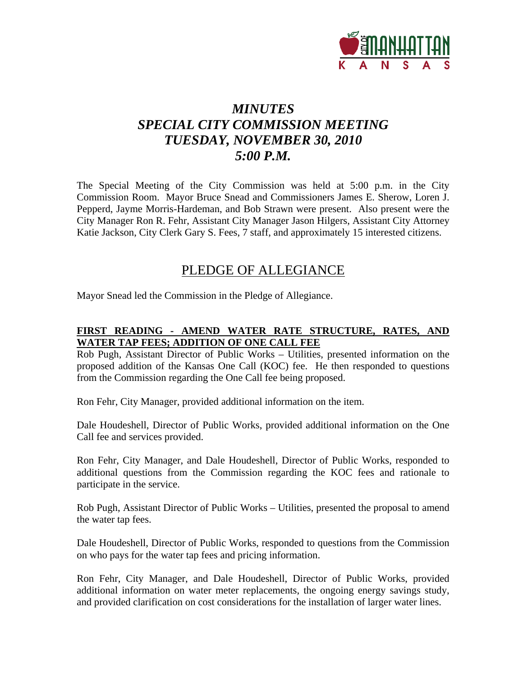

# *MINUTES SPECIAL CITY COMMISSION MEETING TUESDAY, NOVEMBER 30, 2010 5:00 P.M.*

The Special Meeting of the City Commission was held at 5:00 p.m. in the City Commission Room. Mayor Bruce Snead and Commissioners James E. Sherow, Loren J. Pepperd, Jayme Morris-Hardeman, and Bob Strawn were present. Also present were the City Manager Ron R. Fehr, Assistant City Manager Jason Hilgers, Assistant City Attorney Katie Jackson, City Clerk Gary S. Fees, 7 staff, and approximately 15 interested citizens.

## PLEDGE OF ALLEGIANCE

Mayor Snead led the Commission in the Pledge of Allegiance.

### **FIRST READING - AMEND WATER RATE STRUCTURE, RATES, AND WATER TAP FEES; ADDITION OF ONE CALL FEE**

Rob Pugh, Assistant Director of Public Works – Utilities, presented information on the proposed addition of the Kansas One Call (KOC) fee. He then responded to questions from the Commission regarding the One Call fee being proposed.

Ron Fehr, City Manager, provided additional information on the item.

Dale Houdeshell, Director of Public Works, provided additional information on the One Call fee and services provided.

Ron Fehr, City Manager, and Dale Houdeshell, Director of Public Works, responded to additional questions from the Commission regarding the KOC fees and rationale to participate in the service.

Rob Pugh, Assistant Director of Public Works – Utilities, presented the proposal to amend the water tap fees.

Dale Houdeshell, Director of Public Works, responded to questions from the Commission on who pays for the water tap fees and pricing information.

Ron Fehr, City Manager, and Dale Houdeshell, Director of Public Works, provided additional information on water meter replacements, the ongoing energy savings study, and provided clarification on cost considerations for the installation of larger water lines.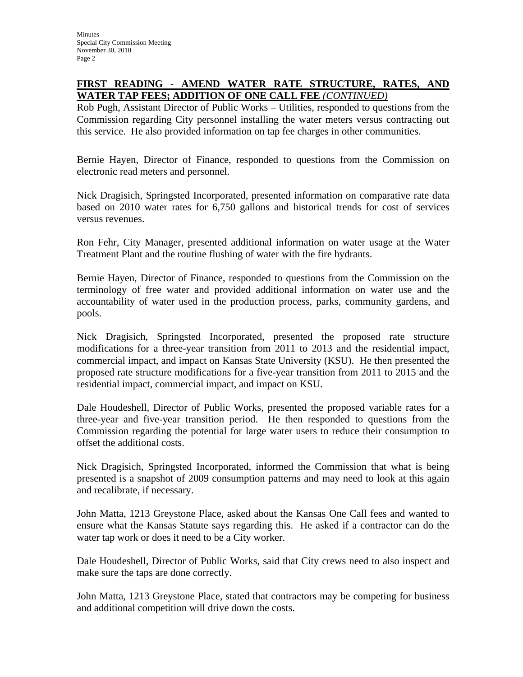### **FIRST READING - AMEND WATER RATE STRUCTURE, RATES, AND WATER TAP FEES; ADDITION OF ONE CALL FEE** *(CONTINUED)*

Rob Pugh, Assistant Director of Public Works – Utilities, responded to questions from the Commission regarding City personnel installing the water meters versus contracting out this service. He also provided information on tap fee charges in other communities.

Bernie Hayen, Director of Finance, responded to questions from the Commission on electronic read meters and personnel.

Nick Dragisich, Springsted Incorporated, presented information on comparative rate data based on 2010 water rates for 6,750 gallons and historical trends for cost of services versus revenues.

Ron Fehr, City Manager, presented additional information on water usage at the Water Treatment Plant and the routine flushing of water with the fire hydrants.

Bernie Hayen, Director of Finance, responded to questions from the Commission on the terminology of free water and provided additional information on water use and the accountability of water used in the production process, parks, community gardens, and pools.

Nick Dragisich, Springsted Incorporated, presented the proposed rate structure modifications for a three-year transition from 2011 to 2013 and the residential impact, commercial impact, and impact on Kansas State University (KSU). He then presented the proposed rate structure modifications for a five-year transition from 2011 to 2015 and the residential impact, commercial impact, and impact on KSU.

Dale Houdeshell, Director of Public Works, presented the proposed variable rates for a three-year and five-year transition period. He then responded to questions from the Commission regarding the potential for large water users to reduce their consumption to offset the additional costs.

Nick Dragisich, Springsted Incorporated, informed the Commission that what is being presented is a snapshot of 2009 consumption patterns and may need to look at this again and recalibrate, if necessary.

John Matta, 1213 Greystone Place, asked about the Kansas One Call fees and wanted to ensure what the Kansas Statute says regarding this. He asked if a contractor can do the water tap work or does it need to be a City worker.

Dale Houdeshell, Director of Public Works, said that City crews need to also inspect and make sure the taps are done correctly.

John Matta, 1213 Greystone Place, stated that contractors may be competing for business and additional competition will drive down the costs.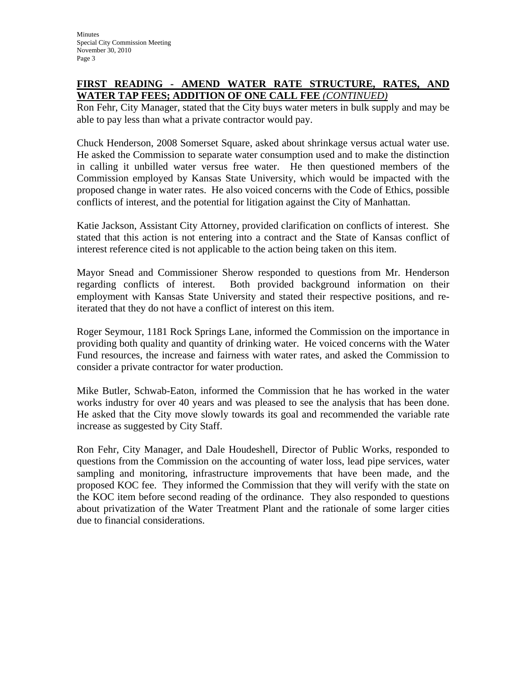#### **FIRST READING - AMEND WATER RATE STRUCTURE, RATES, AND WATER TAP FEES; ADDITION OF ONE CALL FEE** *(CONTINUED)*

Ron Fehr, City Manager, stated that the City buys water meters in bulk supply and may be able to pay less than what a private contractor would pay.

Chuck Henderson, 2008 Somerset Square, asked about shrinkage versus actual water use. He asked the Commission to separate water consumption used and to make the distinction in calling it unbilled water versus free water. He then questioned members of the Commission employed by Kansas State University, which would be impacted with the proposed change in water rates. He also voiced concerns with the Code of Ethics, possible conflicts of interest, and the potential for litigation against the City of Manhattan.

Katie Jackson, Assistant City Attorney, provided clarification on conflicts of interest. She stated that this action is not entering into a contract and the State of Kansas conflict of interest reference cited is not applicable to the action being taken on this item.

Mayor Snead and Commissioner Sherow responded to questions from Mr. Henderson regarding conflicts of interest. Both provided background information on their employment with Kansas State University and stated their respective positions, and reiterated that they do not have a conflict of interest on this item.

Roger Seymour, 1181 Rock Springs Lane, informed the Commission on the importance in providing both quality and quantity of drinking water. He voiced concerns with the Water Fund resources, the increase and fairness with water rates, and asked the Commission to consider a private contractor for water production.

Mike Butler, Schwab-Eaton, informed the Commission that he has worked in the water works industry for over 40 years and was pleased to see the analysis that has been done. He asked that the City move slowly towards its goal and recommended the variable rate increase as suggested by City Staff.

Ron Fehr, City Manager, and Dale Houdeshell, Director of Public Works, responded to questions from the Commission on the accounting of water loss, lead pipe services, water sampling and monitoring, infrastructure improvements that have been made, and the proposed KOC fee. They informed the Commission that they will verify with the state on the KOC item before second reading of the ordinance. They also responded to questions about privatization of the Water Treatment Plant and the rationale of some larger cities due to financial considerations.